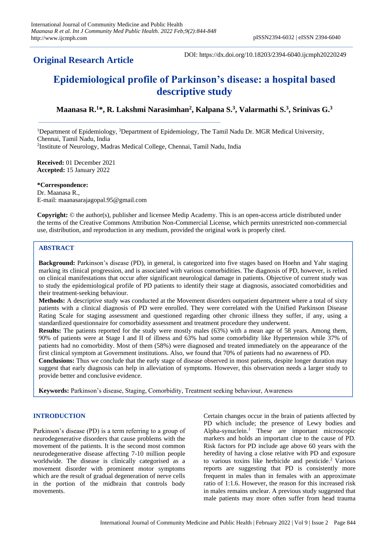# **Original Research Article**

DOI: https://dx.doi.org/10.18203/2394-6040.ijcmph20220249

# **Epidemiological profile of Parkinson's disease: a hospital based descriptive study**

**Maanasa R.<sup>1</sup>\*, R. Lakshmi Narasimhan<sup>2</sup> , Kalpana S.<sup>3</sup> , Valarmathi S.<sup>3</sup> , Srinivas G.<sup>3</sup>**

<sup>1</sup>Department of Epidemiology, <sup>3</sup>Department of Epidemiology, The Tamil Nadu Dr. MGR Medical University, Chennai, Tamil Nadu, India 2 Institute of Neurology, Madras Medical College, Chennai, Tamil Nadu, India

**Received:** 01 December 2021 **Accepted:** 15 January 2022

**\*Correspondence:** Dr. Maanasa R., E-mail[: maanasarajagopal.95@gmail.com](mailto:maanasarajagopal.95@gmail.com)

**Copyright:** © the author(s), publisher and licensee Medip Academy. This is an open-access article distributed under the terms of the Creative Commons Attribution Non-Commercial License, which permits unrestricted non-commercial use, distribution, and reproduction in any medium, provided the original work is properly cited.

# **ABSTRACT**

**Background:** Parkinson's disease (PD), in general, is categorized into five stages based on Hoehn and Yahr staging marking its clinical progression, and is associated with various comorbidities. The diagnosis of PD, however, is relied on clinical manifestations that occur after significant neurological damage in patients. Objective of current study was to study the epidemiological profile of PD patients to identify their stage at diagnosis, associated comorbidities and their treatment-seeking behaviour.

**Methods:** A descriptive study was conducted at the Movement disorders outpatient department where a total of sixty patients with a clinical diagnosis of PD were enrolled. They were correlated with the Unified Parkinson Disease Rating Scale for staging assessment and questioned regarding other chronic illness they suffer, if any, using a standardized questionnaire for comorbidity assessment and treatment procedure they underwent.

**Results:** The patients reported for the study were mostly males (63%) with a mean age of 58 years. Among them, 90% of patients were at Stage I and II of illness and 63% had some comorbidity like Hypertension while 37% of patients had no comorbidity. Most of them (58%) were diagnosed and treated immediately on the appearance of the first clinical symptom at Government institutions. Also, we found that 70% of patients had no awareness of PD.

**Conclusions:** Thus we conclude that the early stage of disease observed in most patients, despite longer duration may suggest that early diagnosis can help in alleviation of symptoms. However, this observation needs a larger study to provide better and conclusive evidence.

**Keywords:** Parkinson's disease, Staging, Comorbidity, Treatment seeking behaviour, Awareness

### **INTRODUCTION**

Parkinson's disease (PD) is a term referring to a group of neurodegenerative disorders that cause problems with the movement of the patients. It is the second most common neurodegenerative disease affecting 7-10 million people worldwide. The disease is clinically categorised as a movement disorder with prominent motor symptoms which are the result of gradual degeneration of nerve cells in the portion of the midbrain that controls body movements.

Certain changes occur in the brain of patients affected by PD which include; the presence of Lewy bodies and Alpha-synuclein.<sup>1</sup> These are important microscopic markers and holds an important clue to the cause of PD. Risk factors for PD include age above 60 years with the heredity of having a close relative with PD and exposure to various toxins like herbicide and pesticide.<sup>2</sup> Various reports are suggesting that PD is consistently more frequent in males than in females with an approximate ratio of 1:1.6. However, the reason for this increased risk in males remains unclear. A previous study suggested that male patients may more often suffer from head trauma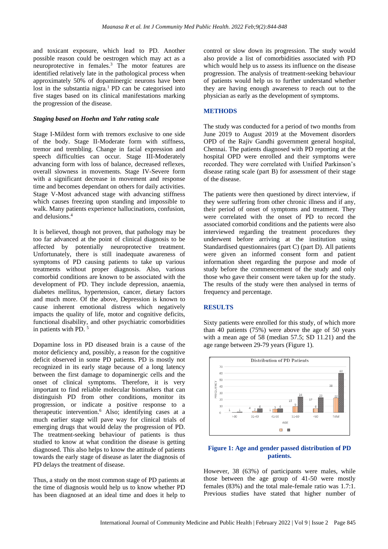and toxicant exposure, which lead to PD. Another possible reason could be oestrogen which may act as a neuroprotective in females.<sup>3</sup> The motor features are identified relatively late in the pathological process when approximately 50% of dopaminergic neurons have been lost in the substantia nigra.<sup>1</sup> PD can be categorised into five stages based on its clinical manifestations marking the progression of the disease.

#### *Staging based on Hoehn and Yahr rating scale*

Stage I-Mildest form with tremors exclusive to one side of the body. Stage II-Moderate form with stiffness, tremor and trembling. Change in facial expression and speech difficulties can occur. Stage III-Moderately advancing form with loss of balance, decreased reflexes, overall slowness in movements. Stage IV-Severe form with a significant decrease in movement and response time and becomes dependant on others for daily activities. Stage V-Most advanced stage with advancing stiffness which causes freezing upon standing and impossible to walk. Many patients experience hallucinations, confusion, and delusions. 4

It is believed, though not proven, that pathology may be too far advanced at the point of clinical diagnosis to be affected by potentially neuroprotective treatment. Unfortunately, there is still inadequate awareness of symptoms of PD causing patients to take up various treatments without proper diagnosis. Also, various comorbid conditions are known to be associated with the development of PD. They include depression, anaemia, diabetes mellitus, hypertension, cancer, dietary factors and much more. Of the above, Depression is known to cause inherent emotional distress which negatively impacts the quality of life, motor and cognitive deficits, functional disability, and other psychiatric comorbidities in patients with PD. <sup>5</sup>

Dopamine loss in PD diseased brain is a cause of the motor deficiency and, possibly, a reason for the cognitive deficit observed in some PD patients. PD is mostly not recognized in its early stage because of a long latency between the first damage to dopaminergic cells and the onset of clinical symptoms. Therefore, it is very important to find reliable molecular biomarkers that can distinguish PD from other conditions, monitor its progression, or indicate a positive response to a therapeutic intervention.<sup>6</sup> Also; identifying cases at a much earlier stage will pave way for clinical trials of emerging drugs that would delay the progression of PD. The treatment-seeking behaviour of patients is thus studied to know at what condition the disease is getting diagnosed. This also helps to know the attitude of patients towards the early stage of disease as later the diagnosis of PD delays the treatment of disease.

Thus, a study on the most common stage of PD patients at the time of diagnosis would help us to know whether PD has been diagnosed at an ideal time and does it help to

control or slow down its progression. The study would also provide a list of comorbidities associated with PD which would help us to assess its influence on the disease progression. The analysis of treatment-seeking behaviour of patients would help us to further understand whether they are having enough awareness to reach out to the physician as early as the development of symptoms.

#### **METHODS**

The study was conducted for a period of two months from June 2019 to August 2019 at the Movement disorders OPD of the Rajiv Gandhi government general hospital, Chennai. The patients diagnosed with PD reporting at the hospital OPD were enrolled and their symptoms were recorded. They were correlated with Unified Parkinson's disease rating scale (part B) for assessment of their stage of the disease.

The patients were then questioned by direct interview, if they were suffering from other chronic illness and if any, their period of onset of symptoms and treatment. They were correlated with the onset of PD to record the associated comorbid conditions and the patients were also interviewed regarding the treatment procedures they underwent before arriving at the institution using Standardised questionnaires (part C) (part D). All patients were given an informed consent form and patient information sheet regarding the purpose and mode of study before the commencement of the study and only those who gave their consent were taken up for the study. The results of the study were then analysed in terms of frequency and percentage.

#### **RESULTS**

Sixty patients were enrolled for this study, of which more than 40 patients (75%) were above the age of 50 years with a mean age of 58 (median 57.5; SD 11.21) and the age range between 29-79 years (Figure 1).



# **Figure 1: Age and gender passed distribution of PD patients.**

However, 38 (63%) of participants were males, while those between the age group of 41-50 were mostly females (83%) and the total male-female ratio was 1.7:1. Previous studies have stated that higher number of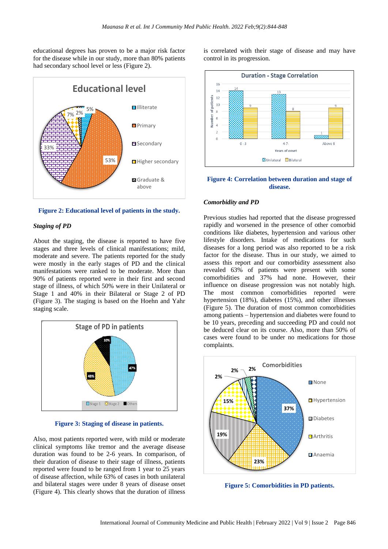educational degrees has proven to be a major risk factor for the disease while in our study, more than 80% patients had secondary school level or less (Figure 2).



**Figure 2: Educational level of patients in the study.**

# *Staging of PD*

About the staging, the disease is reported to have five stages and three levels of clinical manifestations; mild, moderate and severe. The patients reported for the study were mostly in the early stages of PD and the clinical manifestations were ranked to be moderate. More than 90% of patients reported were in their first and second stage of illness, of which 50% were in their Unilateral or Stage 1 and 40% in their Bilateral or Stage 2 of PD (Figure 3). The staging is based on the Hoehn and Yahr staging scale.



**Figure 3: Staging of disease in patients.**

Also, most patients reported were, with mild or moderate clinical symptoms like tremor and the average disease duration was found to be 2-6 years. In comparison, of their duration of disease to their stage of illness, patients reported were found to be ranged from 1 year to 25 years of disease affection, while 63% of cases in both unilateral and bilateral stages were under 8 years of disease onset (Figure 4). This clearly shows that the duration of illness is correlated with their stage of disease and may have control in its progression.



**Figure 4: Correlation between duration and stage of disease.**

#### *Comorbidity and PD*

Previous studies had reported that the disease progressed rapidly and worsened in the presence of other comorbid conditions like diabetes, hypertension and various other lifestyle disorders. Intake of medications for such diseases for a long period was also reported to be a risk factor for the disease. Thus in our study, we aimed to assess this report and our comorbidity assessment also revealed 63% of patients were present with some comorbidities and 37% had none. However, their influence on disease progression was not notably high. The most common comorbidities reported were hypertension (18%), diabetes (15%), and other illnesses (Figure 5). The duration of most common comorbidities among patients – hypertension and diabetes were found to be 10 years, preceding and succeeding PD and could not be deduced clear on its course. Also, more than 50% of cases were found to be under no medications for those complaints.



**Figure 5: Comorbidities in PD patients.**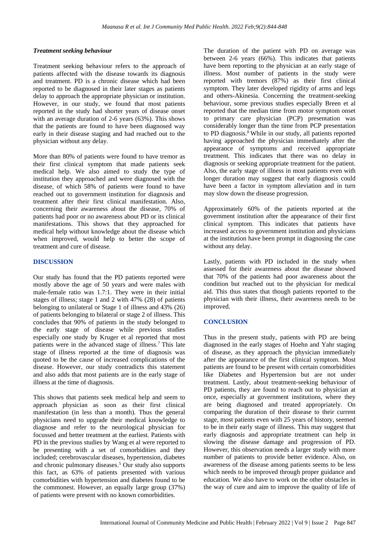#### *Treatment seeking behaviour*

Treatment seeking behaviour refers to the approach of patients affected with the disease towards its diagnosis and treatment. PD is a chronic disease which had been reported to be diagnosed in their later stages as patients delay to approach the appropriate physician or institution. However, in our study, we found that most patients reported in the study had shorter years of disease onset with an average duration of 2-6 years (63%). This shows that the patients are found to have been diagnosed way early in their disease staging and had reached out to the physician without any delay.

More than 80% of patients were found to have tremor as their first clinical symptom that made patients seek medical help. We also aimed to study the type of institution they approached and were diagnosed with the disease, of which 58% of patients were found to have reached out to government institution for diagnosis and treatment after their first clinical manifestation. Also, concerning their awareness about the disease, 70% of patients had poor or no awareness about PD or its clinical manifestations. This shows that they approached for medical help without knowledge about the disease which when improved, would help to better the scope of treatment and cure of disease.

#### **DISCUSSION**

Our study has found that the PD patients reported were mostly above the age of 50 years and were males with male-female ratio was 1.7:1. They were in their initial stages of illness; stage 1 and 2 with 47% (28) of patients belonging to unilateral or Stage 1 of illness and 43% (26) of patients belonging to bilateral or stage 2 of illness. This concludes that 90% of patients in the study belonged to the early stage of disease while previous studies especially one study by Kruger et al reported that most patients were in the advanced stage of illness.<sup>7</sup> This late stage of illness reported at the time of diagnosis was quoted to be the cause of increased complications of the disease. However, our study contradicts this statement and also adds that most patients are in the early stage of illness at the time of diagnosis.

This shows that patients seek medical help and seem to approach physician as soon as their first clinical manifestation (in less than a month). Thus the general physicians need to upgrade their medical knowledge to diagnose and refer to the neurological physician for focussed and better treatment at the earliest. Patients with PD in the previous studies by Wang et al were reported to be presenting with a set of comorbidities and they included; cerebrovascular diseases, hypertension, diabetes and chronic pulmonary diseases.<sup>5</sup> Our study also supports this fact, as 63% of patients presented with various comorbidities with hypertension and diabetes found to be the commonest. However, an equally large group (37%) of patients were present with no known comorbidities.

The duration of the patient with PD on average was between 2-6 years (66%). This indicates that patients have been reporting to the physician at an early stage of illness. Most number of patients in the study were reported with tremors (87%) as their first clinical symptom. They later developed rigidity of arms and legs and others-Akinesia. Concerning the treatment-seeking behaviour, some previous studies especially Breen et al reported that the median time from motor symptom onset to primary care physician (PCP) presentation was considerably longer than the time from PCP presentation to PD diagnosis.<sup>8</sup> While in our study, all patients reported having approached the physician immediately after the appearance of symptoms and received appropriate treatment. This indicates that there was no delay in diagnosis or seeking appropriate treatment for the patient. Also, the early stage of illness in most patients even with longer duration may suggest that early diagnosis could have been a factor in symptom alleviation and in turn may slow down the disease progression.

Approximately 60% of the patients reported at the government institution after the appearance of their first clinical symptom. This indicates that patients have increased access to government institution and physicians at the institution have been prompt in diagnosing the case without any delay.

Lastly, patients with PD included in the study when assessed for their awareness about the disease showed that 70% of the patients had poor awareness about the condition but reached out to the physician for medical aid. This thus states that though patients reported to the physician with their illness, their awareness needs to be improved.

### **CONCLUSION**

Thus in the present study, patients with PD are being diagnosed in the early stages of Hoehn and Yahr staging of disease, as they approach the physician immediately after the appearance of the first clinical symptom. Most patients are found to be present with certain comorbidities like Diabetes and Hypertension but are not under treatment. Lastly, about treatment-seeking behaviour of PD patients, they are found to reach out to physician at once, especially at government institutions, where they are being diagnosed and treated appropriately. On comparing the duration of their disease to their current stage, most patients even with 25 years of history, seemed to be in their early stage of illness. This may suggest that early diagnosis and appropriate treatment can help in slowing the disease damage and progression of PD. However, this observation needs a larger study with more number of patients to provide better evidence. Also, on awareness of the disease among patients seems to be less which needs to be improved through proper guidance and education. We also have to work on the other obstacles in the way of cure and aim to improve the quality of life of